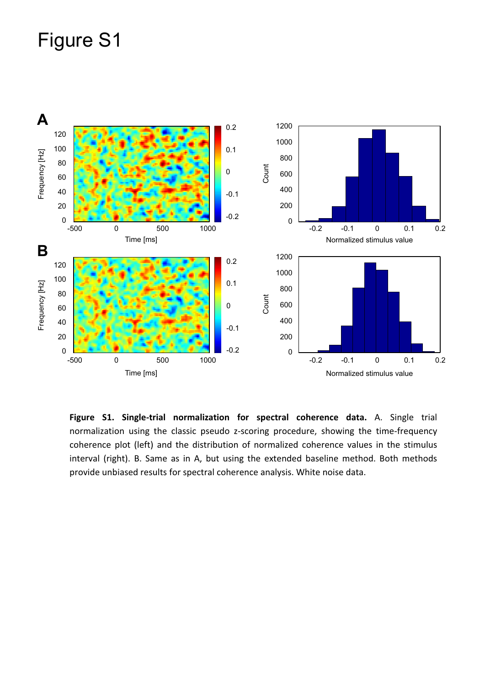## Figure S1



**Figure S1. Single-trial normalization for spectral coherence data.** A. Single trial normalization using the classic pseudo z-scoring procedure, showing the time-frequency coherence plot (left) and the distribution of normalized coherence values in the stimulus interval (right). B. Same as in A, but using the extended baseline method. Both methods provide unbiased results for spectral coherence analysis. White noise data.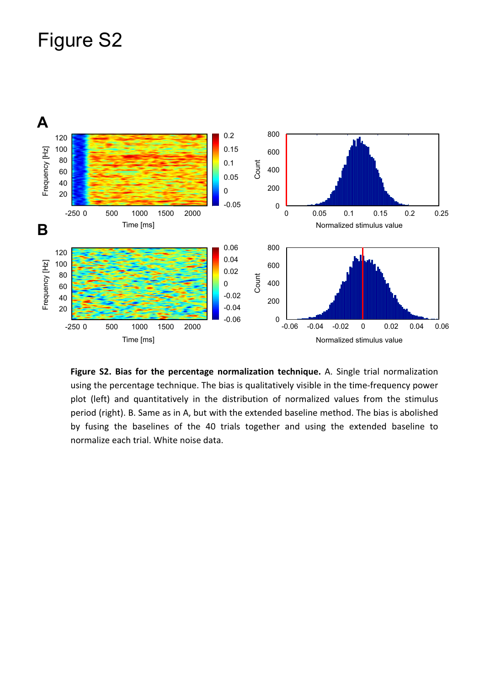## Figure S2



**Figure S2. Bias for the percentage normalization technique.** A. Single trial normalization using the percentage technique. The bias is qualitatively visible in the time-frequency power plot (left) and quantitatively in the distribution of normalized values from the stimulus period (right). B. Same as in A, but with the extended baseline method. The bias is abolished by fusing the baselines of the 40 trials together and using the extended baseline to normalize each trial. White noise data.